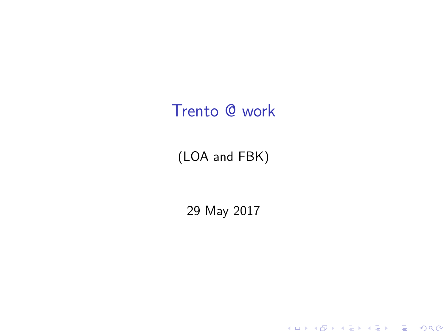## <span id="page-0-0"></span>Trento @ work

### (LOA and FBK)

29 May 2017

K ロ ▶ K @ ▶ K 할 ▶ K 할 ▶ | 할 | ⊙Q @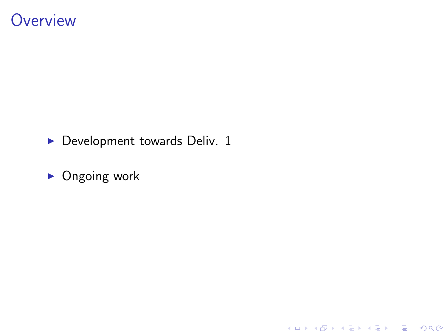### **Overview**

 $\triangleright$  Development towards Deliv. 1

イロト イ御 トイミト イミト ニミー りんぴ

 $\triangleright$  Ongoing work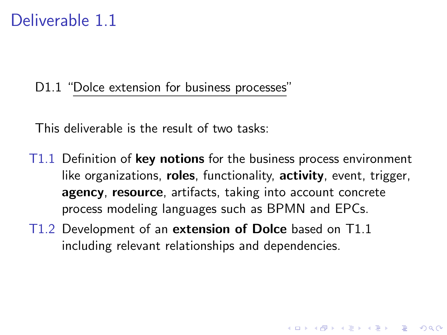### Deliverable 1.1

#### D1.1 "Dolce extension for business processes"

This deliverable is the result of two tasks:

T1.1 Definition of key notions for the business process environment like organizations, **roles**, functionality, **activity**, event, trigger, agency, resource, artifacts, taking into account concrete process modeling languages such as BPMN and EPCs.

**KORK ERKER ADE YOUR** 

T1.2 Development of an extension of Dolce based on T1.1 including relevant relationships and dependencies.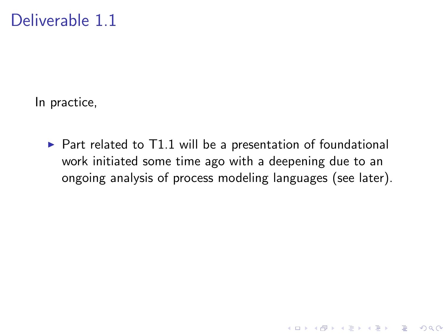In practice,

 $\triangleright$  Part related to T1.1 will be a presentation of foundational work initiated some time ago with a deepening due to an ongoing analysis of process modeling languages (see later).

K ロ ▶ K @ ▶ K 할 > K 할 > 1 할 > 1 이익어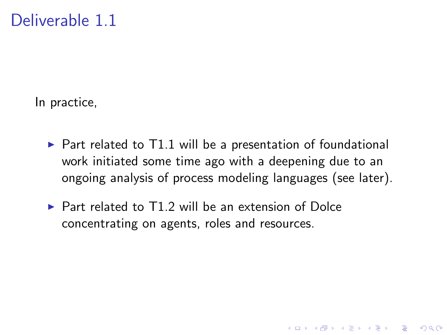In practice,

 $\triangleright$  Part related to T1.1 will be a presentation of foundational work initiated some time ago with a deepening due to an ongoing analysis of process modeling languages (see later).

**K ロ ▶ K @ ▶ K 할 X X 할 X → 할 X → 9 Q Q ^** 

 $\triangleright$  Part related to T1.2 will be an extension of Dolce concentrating on agents, roles and resources.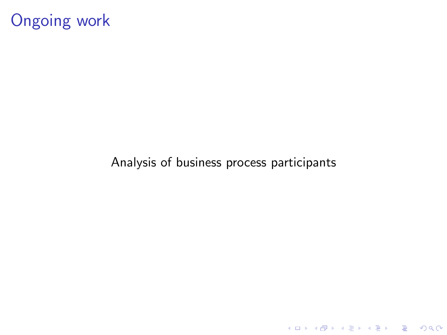# Ongoing work

#### Analysis of business process participants

K ロ ▶ K @ ▶ K 할 ▶ K 할 ▶ | 할 | ⊙Q @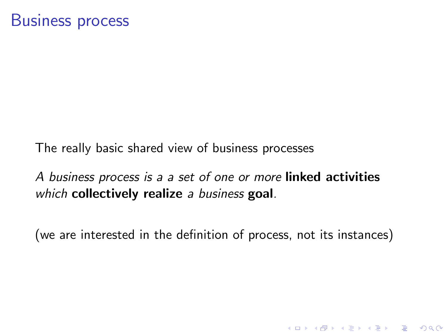The really basic shared view of business processes

A business process is a a set of one or more linked activities which collectively realize a business goal.

(we are interested in the definition of process, not its instances)

**K ロ ▶ K @ ▶ K 할 X X 할 X → 할 X → 9 Q Q ^**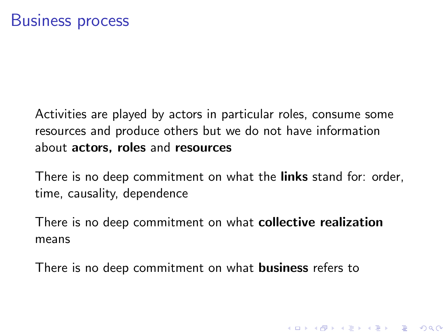Activities are played by actors in particular roles, consume some resources and produce others but we do not have information about actors, roles and resources

There is no deep commitment on what the links stand for: order, time, causality, dependence

**K ロ ▶ K @ ▶ K 할 X X 할 X → 할 X → 9 Q Q ^** 

There is no deep commitment on what collective realization means

There is no deep commitment on what **business** refers to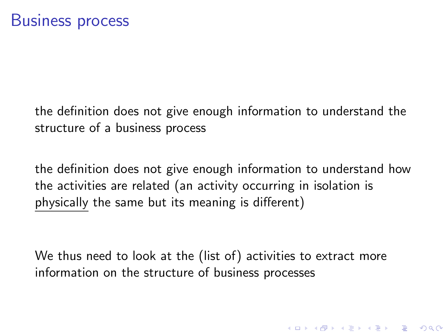the definition does not give enough information to understand the structure of a business process

the definition does not give enough information to understand how the activities are related (an activity occurring in isolation is physically the same but its meaning is different)

We thus need to look at the (list of) activities to extract more information on the structure of business processes

4 D > 4 P + 4 B + 4 B + B + 9 Q O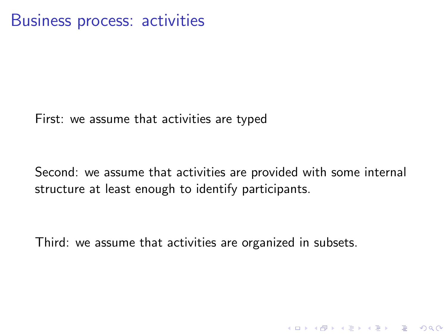<span id="page-9-0"></span>First: we assume that activities are typed

Second: we assume that activities are provided with some internal structure at least enough to identify participants.

**K ロ ▶ K @ ▶ K 할 X X 할 X → 할 X → 9 Q Q ^** 

Third: we assume that activities are organized in subsets.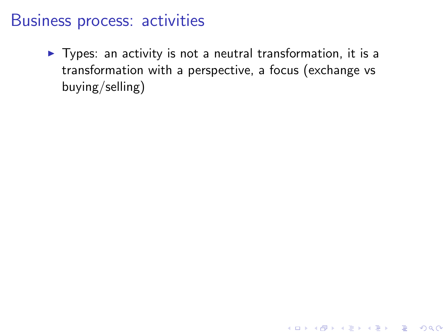### <span id="page-10-0"></span>Business process: activities

 $\blacktriangleright$  Types: an activity is not a neutral transformation, it is a transformation with a perspective, a focus (exchange vs buying/selling)

**K ロ ▶ K @ ▶ K 할 X X 할 X → 할 X → 9 Q Q ^**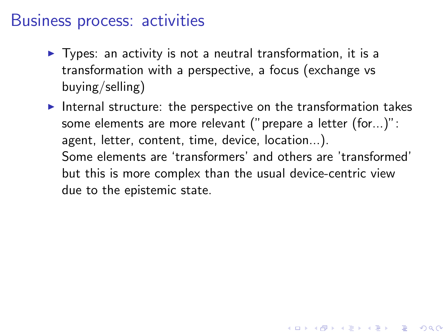### <span id="page-11-0"></span>Business process: activities

- $\triangleright$  Types: an activity is not a neutral transformation, it is a transformation with a perspective, a focus (exchange vs buying/selling)
- Internal structure: the perspective on the transformation takes some elements are more relevant ("prepare a letter (for...)": agent, letter, content, time, device, location...). Some elements are 'transformers' and others are 'transformed' but this is more complex than the usual device-centric view due to the epistemic state.

4 D > 4 P + 4 B + 4 B + B + 9 Q O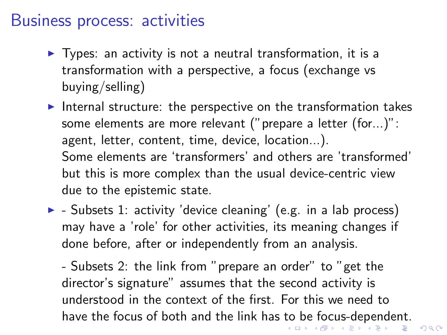### <span id="page-12-0"></span>Business process: activities

- $\triangleright$  Types: an activity is not a neutral transformation, it is a transformation with a perspective, a focus (exchange vs buying/selling)
- Internal structure: the perspective on the transformation takes some elements are more relevant ("prepare a letter (for...)": agent, letter, content, time, device, location...). Some elements are 'transformers' and others are 'transformed' but this is more complex than the usual device-centric view due to the epistemic state.
- $\blacktriangleright$  Subsets 1: activity 'device cleaning' (e.g. in a lab process) may have a 'role' for other activities, its meaning changes if done before, after or independently from an analysis.

- Subsets 2: the link from "prepare an order" to "get the director's signature" assumes that the second activity is understood in the context of the first. For this we need to have the focus of both and the link has [to](#page-11-0) [be](#page-13-0)[fo](#page-10-0)[cu](#page-13-0)[s-](#page-0-0)[de](#page-13-0)[pe](#page-0-0)[nd](#page-13-0)[en](#page-0-0)[t.](#page-13-0)